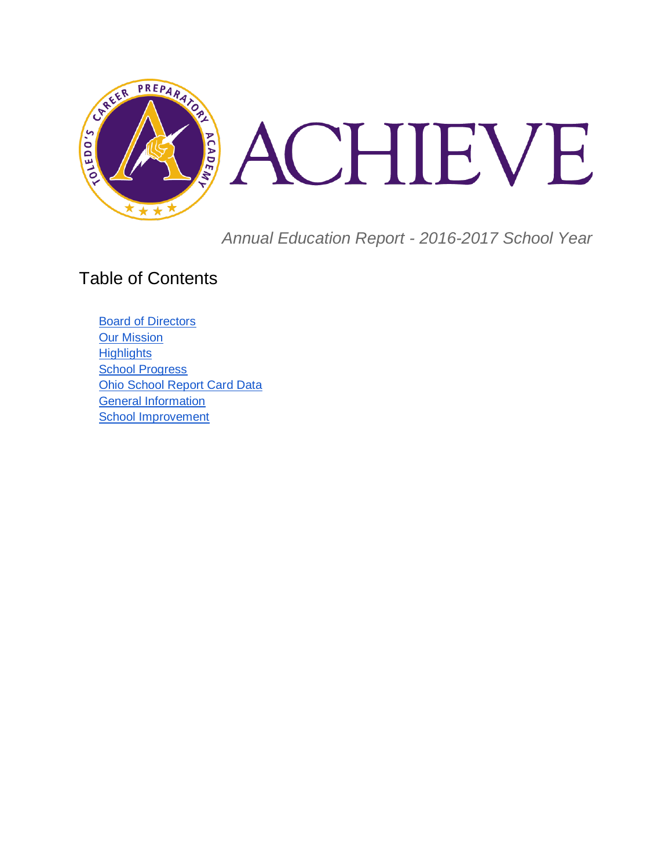

*Annual Education Report - 2016-2017 School Year*

### Table of Contents

[Board of Directors](#page-1-0) [Our Mission](#page-1-1) **[Highlights](#page-1-2)** [School Progress](#page-2-0) [Ohio School Report Card Data](#page-2-1) General Information [School Improvement](#page-4-0)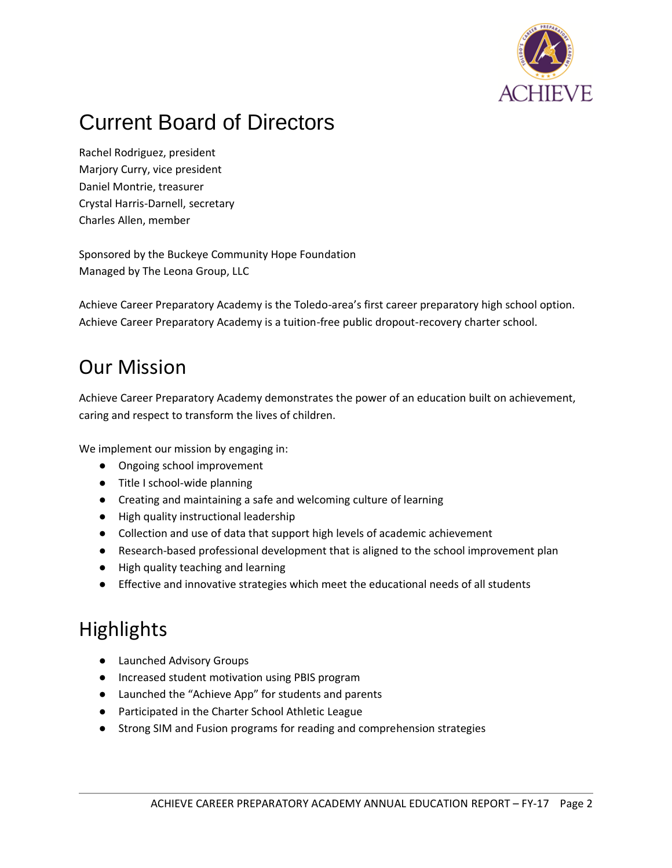

## <span id="page-1-0"></span>Current Board of Directors

Rachel Rodriguez, president Marjory Curry, vice president Daniel Montrie, treasurer Crystal Harris-Darnell, secretary Charles Allen, member

Sponsored by the Buckeye Community Hope Foundation Managed by The Leona Group, LLC

Achieve Career Preparatory Academy is the Toledo-area's first career preparatory high school option. Achieve Career Preparatory Academy is a tuition-free public dropout-recovery charter school.

### <span id="page-1-1"></span>Our Mission

Achieve Career Preparatory Academy demonstrates the power of an education built on achievement, caring and respect to transform the lives of children.

We implement our mission by engaging in:

- Ongoing school improvement
- Title I school-wide planning
- Creating and maintaining a safe and welcoming culture of learning
- High quality instructional leadership
- Collection and use of data that support high levels of academic achievement
- Research-based professional development that is aligned to the school improvement plan
- High quality teaching and learning
- Effective and innovative strategies which meet the educational needs of all students

## <span id="page-1-2"></span>**Highlights**

- Launched Advisory Groups
- Increased student motivation using PBIS program
- Launched the "Achieve App" for students and parents
- Participated in the Charter School Athletic League
- Strong SIM and Fusion programs for reading and comprehension strategies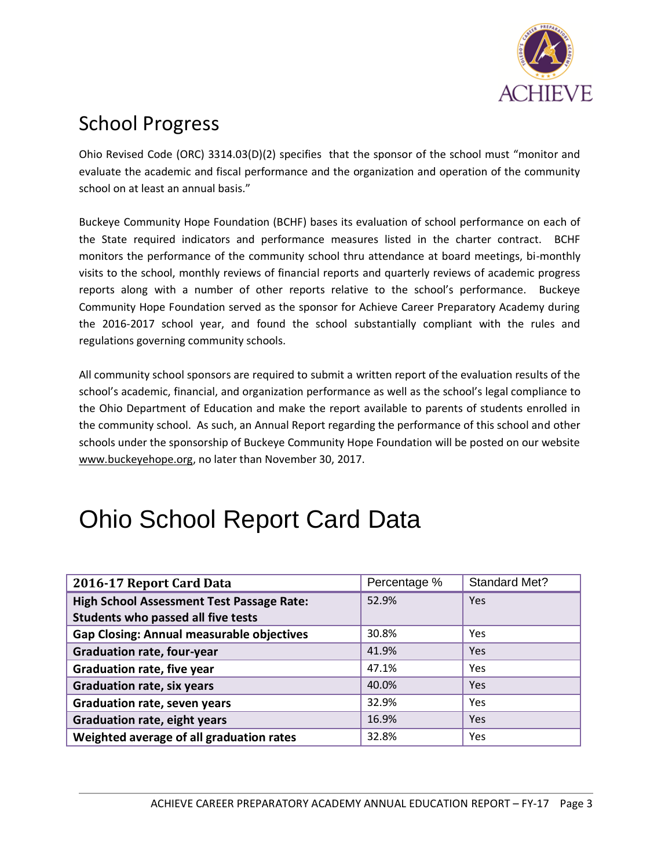

## <span id="page-2-0"></span>School Progress

Ohio Revised Code (ORC) 3314.03(D)(2) specifies that the sponsor of the school must "monitor and evaluate the academic and fiscal performance and the organization and operation of the community school on at least an annual basis."

Buckeye Community Hope Foundation (BCHF) bases its evaluation of school performance on each of the State required indicators and performance measures listed in the charter contract. BCHF monitors the performance of the community school thru attendance at board meetings, bi-monthly visits to the school, monthly reviews of financial reports and quarterly reviews of academic progress reports along with a number of other reports relative to the school's performance. Buckeye Community Hope Foundation served as the sponsor for Achieve Career Preparatory Academy during the 2016-2017 school year, and found the school substantially compliant with the rules and regulations governing community schools.

All community school sponsors are required to submit a written report of the evaluation results of the school's academic, financial, and organization performance as well as the school's legal compliance to the Ohio Department of Education and make the report available to parents of students enrolled in the community school. As such, an Annual Report regarding the performance of this school and other schools under the sponsorship of Buckeye Community Hope Foundation will be posted on our website [www.buckeyehope.org,](http://www.buckeyehope.org/) no later than November 30, 2017.

# <span id="page-2-1"></span>Ohio School Report Card Data

| 2016-17 Report Card Data                         | Percentage % | <b>Standard Met?</b> |
|--------------------------------------------------|--------------|----------------------|
| <b>High School Assessment Test Passage Rate:</b> | 52.9%        | Yes                  |
| Students who passed all five tests               |              |                      |
| <b>Gap Closing: Annual measurable objectives</b> | 30.8%        | <b>Yes</b>           |
| <b>Graduation rate, four-year</b>                | 41.9%        | Yes                  |
| <b>Graduation rate, five year</b>                | 47.1%        | Yes                  |
| <b>Graduation rate, six years</b>                | 40.0%        | Yes                  |
| <b>Graduation rate, seven years</b>              | 32.9%        | Yes                  |
| <b>Graduation rate, eight years</b>              | 16.9%        | Yes                  |
| Weighted average of all graduation rates         | 32.8%        | Yes                  |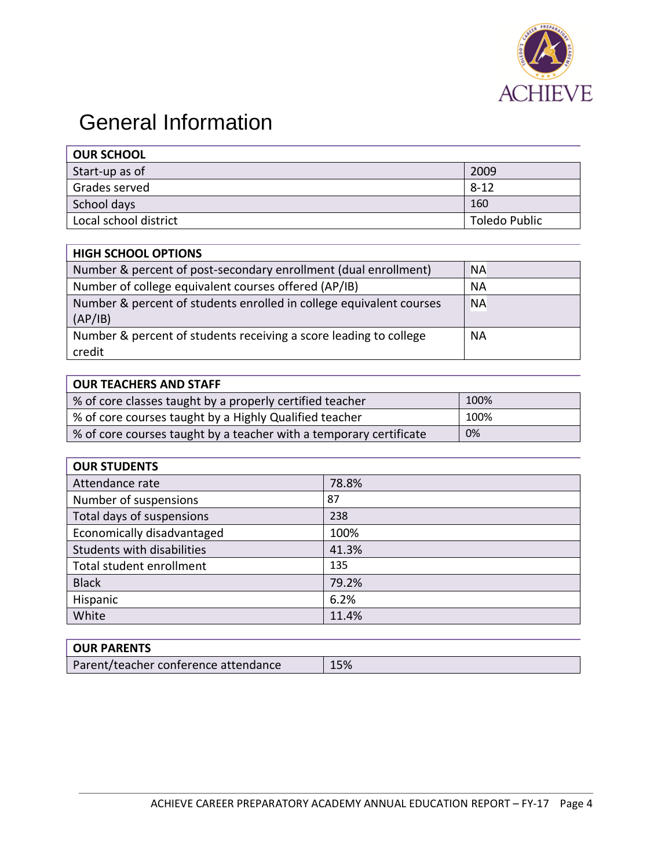

## General Information

| <b>OUR SCHOOL</b>     |               |
|-----------------------|---------------|
| Start-up as of        | 2009          |
| Grades served         | $8 - 12$      |
| School days           | 160           |
| Local school district | Toledo Public |

| <b>HIGH SCHOOL OPTIONS</b>                                          |           |
|---------------------------------------------------------------------|-----------|
| Number & percent of post-secondary enrollment (dual enrollment)     | <b>NA</b> |
| Number of college equivalent courses offered (AP/IB)                | <b>NA</b> |
| Number & percent of students enrolled in college equivalent courses | <b>NA</b> |
| (AP/IB)                                                             |           |
| Number & percent of students receiving a score leading to college   | <b>NA</b> |
| credit                                                              |           |

### **OUR TEACHERS AND STAFF**

г

| % of core classes taught by a properly certified teacher           | 100% |
|--------------------------------------------------------------------|------|
| % of core courses taught by a Highly Qualified teacher             | 100% |
| % of core courses taught by a teacher with a temporary certificate | 0%   |

| <b>OUR STUDENTS</b>        |       |
|----------------------------|-------|
| Attendance rate            | 78.8% |
| Number of suspensions      | 87    |
| Total days of suspensions  | 238   |
| Economically disadvantaged | 100%  |
| Students with disabilities | 41.3% |
| Total student enrollment   | 135   |
| <b>Black</b>               | 79.2% |
| Hispanic                   | 6.2%  |
| White                      | 11.4% |

| <b>OUR PARENTS</b>                   |     |
|--------------------------------------|-----|
| Parent/teacher conference attendance | 15% |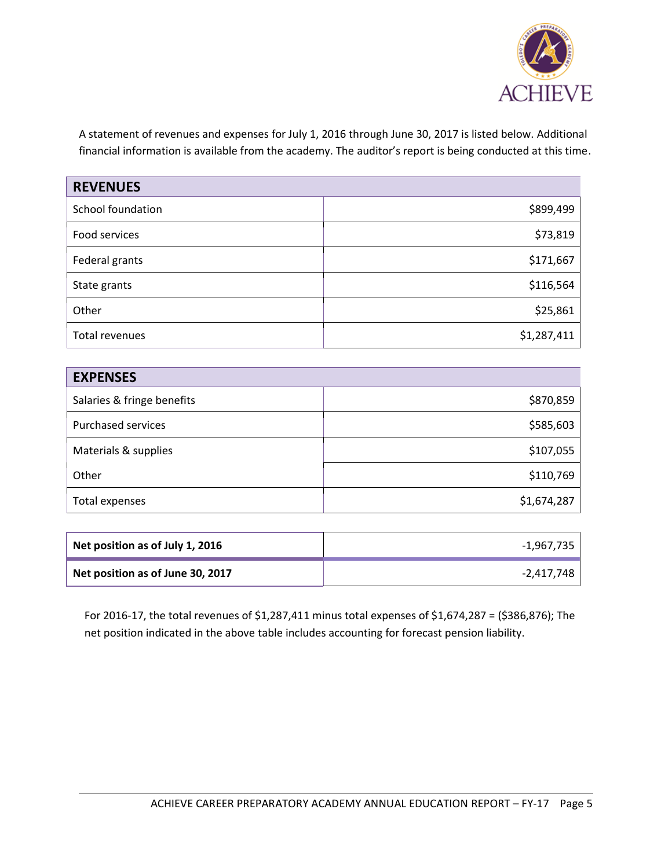

A statement of revenues and expenses for July 1, 2016 through June 30, 2017 is listed below. Additional financial information is available from the academy. The auditor's report is being conducted at this time.

| <b>REVENUES</b>   |             |
|-------------------|-------------|
| School foundation | \$899,499   |
| Food services     | \$73,819    |
| Federal grants    | \$171,667   |
| State grants      | \$116,564   |
| Other             | \$25,861    |
| Total revenues    | \$1,287,411 |

| <b>EXPENSES</b>            |             |
|----------------------------|-------------|
| Salaries & fringe benefits | \$870,859   |
| <b>Purchased services</b>  | \$585,603   |
| Materials & supplies       | \$107,055   |
| Other                      | \$110,769   |
| Total expenses             | \$1,674,287 |

| Net position as of July 1, 2016  | -1,967,735 |
|----------------------------------|------------|
| Net position as of June 30, 2017 | -2,417,748 |

<span id="page-4-0"></span>For 2016-17, the total revenues of \$1,287,411 minus total expenses of \$1,674,287 = (\$386,876); The net position indicated in the above table includes accounting for forecast pension liability.